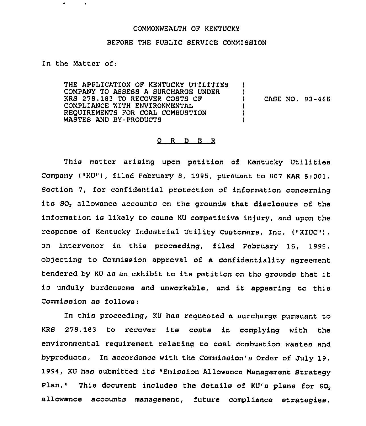## COMMONWEALTH OF KENTUCKY

## BEFORE THE PUBLIC SERVICE COMMISSION

In the Matter of <sup>i</sup>

 $\bullet$ 

 $\blacksquare$ 

THE APPLICATION OP KENTUCKY UTILITIES COMPANY TO ASSESS A SURCHARGE UNDER KRS 278.183 TO RECOVER COSTS OF COMPLIANCE WITH ENVIRONMENTAL REQUIREMENTS FOR COAL COMBUSTION WASTES AND BY-PRODUCTS ) ) ) ) )

) CASE NO. 93-465

## $Q$  R  $D$  E R

This matter arising upon petition of Kentucky Utilities Company ("KU"), filed February 8, 1995, pursuant to 807 KAR 5:001, Section 7, for confidential protection of information concerning its SO, allowance accounts on the grounds that disclosure of the information is likely to cause KU competitive injury, and upon the response of Kentucky Industrial Utility Customers, Inc. {"KIUC"), an intervenor in this proceeding, filed February 15, 1995, objecting to Commission approval of a confidentiality agreement tendered by KU as an exhibit to its petition on the grounds that it is unduly burdensome and unworkable, and it appearing to this Commission as follows:

In this proceeding, KU has requested a surcharge pursuant to KRS 278. 183 to recover its costs in complying with the environmental requirement relating to coal combustion wastes and byproducts. In accordance with the Commission's Order of July 19, 1994, KU has submitted its "Emission Allowance Management Strategy Plan." This document includes the details of  $KU'$ s plans for  $SO<sub>2</sub>$ allowance accounts management, future compliance strategies,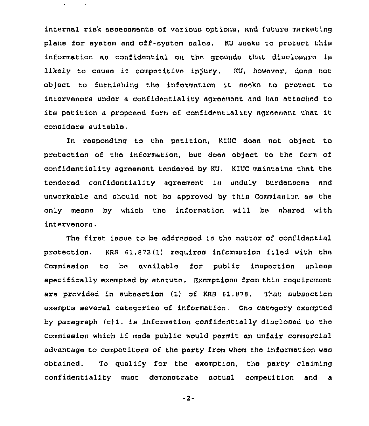internal risk assessments of various options, and future marketing plans for system and off-system sales. KU seeks to protect this information as conf idantial on the grounds that diacloaure ia likely to cause it competitive injury. KU, however, does not object to furnishing the information it seeks to protect to intervenors under a confidentiality agreement and has attached to its petition <sup>a</sup> propoaad form of confidentiality agreement that it considers suitable.

In responding to the petition, KIUC does not object to protection of the information, but does object to the form of confidentiality agreement tendered by KU, KIUC maintains that the tendered confidentiality agreement is unduly burdensome and unworkable and should not be approved by this Commission as the only means by which thc information will be shared with intervenors.

The first issue to be addressed ia the matter of confidential protection. KRS 61,B72(1) requires information filed with the Commission to be available for public inspection unless specifically exempted by statute, Exemptions from this requirement are provided in subsection (1) of KRS Gl,870, That subsection exempts several categories of information, Ono category exempted by paragraph  $(c)$ 1. is information confidentially disclosed to the Commission which if made public would permit an unfair commercial advantage to competitors of tho party from whom the information was obtained. To qualify for the oxemption, the party claiming confidentiality must demonstrate actual competition and a

 $-2-$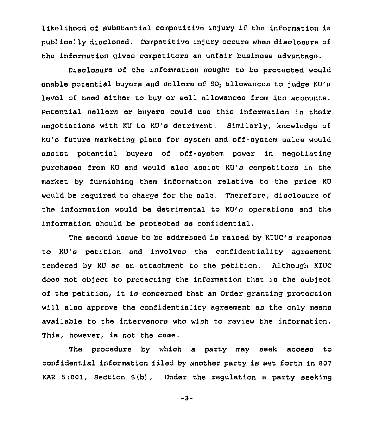likelihood of substantial competitive injury if the information is publically disclosed. Competitive injury occurs when disclosure of the information gives competitors an unfair business advantage.

Disclosure of the information sought to be protected would enable potential buyers and sellers of SO, allowances to judge KU's level of need either to buy or sell allowances from its accounts. Potential sellers or buyers could use this information in their negotiations with KU to KU's detriment. Similarly, knowledge of KU's future marketing plans for system and off-system sales would assist potential buyers of off-system power in negotiating purchases from KU and would also assist KU's competitors in the market by furnishing them information relative to the price KU would be required to charge for the sale. Therefore, disclosure of the information would be detrimental to KU's operations and the information should be protected as confidential.

The second issue to be addressed is raised by KIUC's response to KU's petition and involves the confidentiality agreement tendered by KU as an attachment to the petition. Although KIUC does not object to protecting the information that is the subject of the petition, it is concerned that an Order granting protection will also approve the confidentiality agreement as the only means available to the intervenors who wish to review the information. This, however, is not the case.

The procedure by which a party may seek access to confidential information filed by another party is set forth in 807 KAR  $5:001$ , Section  $5(b)$ . Under the regulation a party seeking

-3-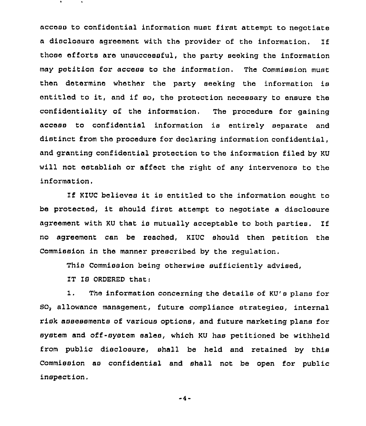access to confidential information must first attempt to negotiate a disclosure agreement with the provider of the information. If those efforts are unsuccessful, the party seeking the information may petition for access to the information. The Commission must then determine whether the party seeking the information is entitled to it, and if so, the protection necessary to ensure the confidentiality of the information. The procedure for gaining access to confidential information is entirely separate and distinct from the procedure for declaring information confidential, and granting confidential protection to the information filed by KU will not establish or affect the right of any intervenors to the information,

If KIUC believes it is entitled to the information sought to be protected, it should first attempt to negotiate <sup>a</sup> disclosure agreement with KU that is mutually acceptable to both parties. If no agreement can be reached, KIUC should then petition the Commission in the manner prescribed by the regulation.

This Commission being otherwise sufficiently advised,

IT IG ORDERED that:

1. The information concerning the details of KU's plane for 80, allowance management, future compliance strategies, internal risk assessments of various options, and future marketing plans for system and off-system sales, which KU has petitioned be withheld from public disclosure, shall be held and retained by this Commission as confidential and shall not be open for public inspection.

 $-4-$